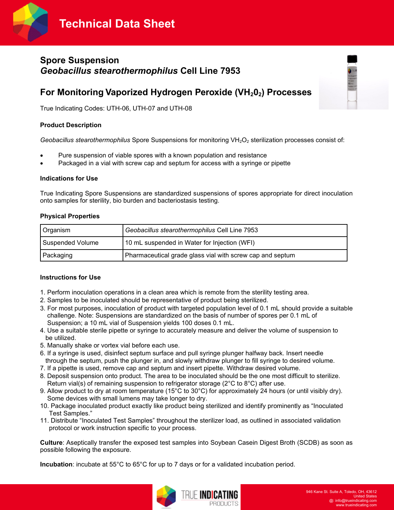



# **Spore Suspension** *Geobacillus stearothermophilus* **Cell Line 7953**

# **For Monitoring Vaporized Hydrogen Peroxide (VH202) Processes**

True Indicating Codes: UTH-06, UTH-07 and UTH-08

### **Product Description**

*Geobacillus stearothermophilus Spore Suspensions for monitoring VH<sub>2</sub>O<sub>2</sub> sterilization processes consist of:* 

- Pure suspension of viable spores with a known population and resistance
- Packaged in a vial with screw cap and septum for access with a syringe or pipette

#### **Indications for Use**

True Indicating Spore Suspensions are standardized suspensions of spores appropriate for direct inoculation onto samples for sterility, bio burden and bacteriostasis testing.

#### **Physical Properties**

| Organism                | Geobacillus stearothermophilus Cell Line 7953             |  |  |
|-------------------------|-----------------------------------------------------------|--|--|
| <b>Suspended Volume</b> | 10 mL suspended in Water for Injection (WFI)              |  |  |
| Packaging               | Pharmaceutical grade glass vial with screw cap and septum |  |  |

# **Instructions for Use**

- 1. Perform inoculation operations in a clean area which is remote from the sterility testing area.
- 2. Samples to be inoculated should be representative of product being sterilized.
- 3. For most purposes, inoculation of product with targeted population level of 0.1 mL should provide a suitable challenge. Note: Suspensions are standardized on the basis of number of spores per 0.1 mL of Suspension; a 10 mL vial of Suspension yields 100 doses 0.1 mL.
- 4. Use a suitable sterile pipette or syringe to accurately measure and deliver the volume of suspension to be utilized.
- 5. Manually shake or vortex vial before each use.
- 6. If a syringe is used, disinfect septum surface and pull syringe plunger halfway back. Insert needle through the septum, push the plunger in, and slowly withdraw plunger to fill syringe to desired volume.
- 7. If a pipette is used, remove cap and septum and insert pipette. Withdraw desired volume.
- 8. Deposit suspension onto product. The area to be inoculated should be the one most difficult to sterilize. Return vial(s) of remaining suspension to refrigerator storage (2°C to 8°C) after use.
- 9. Allow product to dry at room temperature (15°C to 30°C) for approximately 24 hours (or until visibly dry). Some devices with small lumens may take longer to dry.
- 10. Package inoculated product exactly like product being sterilized and identify prominently as "Inoculated Test Samples."
- 11. Distribute "Inoculated Test Samples" throughout the sterilizer load, as outlined in associated validation protocol or work instruction specific to your process.

**Culture**: Aseptically transfer the exposed test samples into Soybean Casein Digest Broth (SCDB) as soon as possible following the exposure.

**Incubation**: incubate at 55°C to 65°C for up to 7 days or for a validated incubation period.